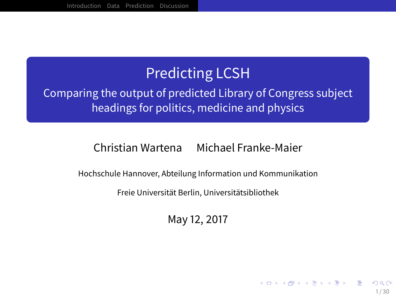## Predicting LCSH

### Comparing the output of predicted Library of Congress subject headings for politics, medicine and physics

#### Christian Wartena Michael Franke-Maier

Hochschule Hannover, Abteilung Information und Kommunikation

Freie Universität Berlin, Universitätsibliothek

May 12, 2017

1 / 30

イロトイ団 トイヨトイヨト 一番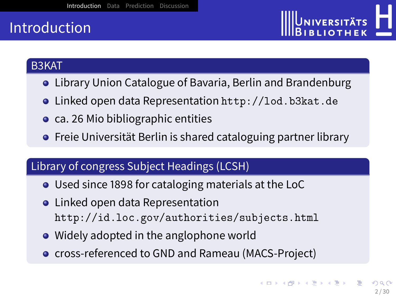## <span id="page-1-0"></span>Introduction



#### B3KAT

- Library Union Catalogue of Bavaria, Berlin and Brandenburg
- Linked open data Representation <http://lod.b3kat.de>
- ca. 26 Mio bibliographic entities
- **•** Freie Universität Berlin is shared cataloguing partner library

#### Library of congress Subject Headings (LCSH)

- Used since 1898 for cataloging materials at the LoC
- **•** Linked open data Representation <http://id.loc.gov/authorities/subjects.html>
- Widely adopted in the anglophone world
- **o** cross-referenced to GND and Rameau (MACS-Project)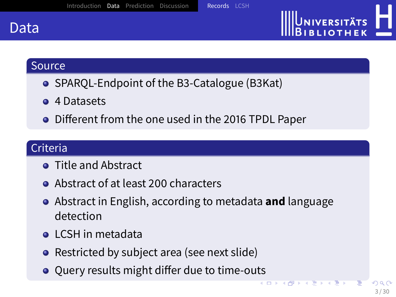<span id="page-2-0"></span>

# UNIVERSITÄTS

#### Source

- SPAROL-Endpoint of the B3-Catalogue (B3Kat)
- **4 Datasets**
- Different from the one used in the 2016 TPDL Paper

#### Criteria

- **Title and Abstract**
- Abstract of at least 200 characters
- Abstract in English, according to metadata **and** language detection
- **LCSH** in metadata
- Restricted by subject area (see next slide)
- $\bullet$  Query results might differ due to time-outs

 $(1)$   $(1)$   $(1)$   $(1)$   $(1)$   $(1)$   $(1)$   $(1)$   $(1)$   $(1)$   $(1)$   $(1)$   $(1)$   $(1)$   $(1)$   $(1)$   $(1)$   $(1)$   $(1)$   $(1)$   $(1)$   $(1)$   $(1)$   $(1)$   $(1)$   $(1)$   $(1)$   $(1)$   $(1)$   $(1)$   $(1)$   $(1)$   $(1)$   $(1)$   $(1)$   $(1)$   $(1)$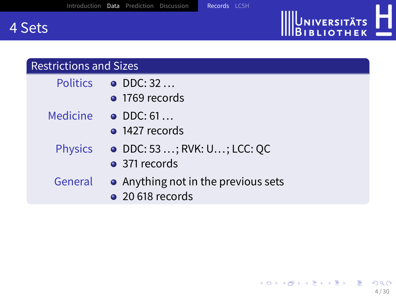## 4 Sets

#### Restrictions and Sizes

- Politics DDC: 32 ...
	- <sup>o</sup> 1769 records
- Medicine DDC: 61...
	- **1427 records**
	- Physics DDC: 53 ...; RVK: U...; LCC: QC
		- 371 records
	- General Anything not in the previous sets
		- 20 618 records

UNIVERSITÄTS<br>BIBLIOTHEK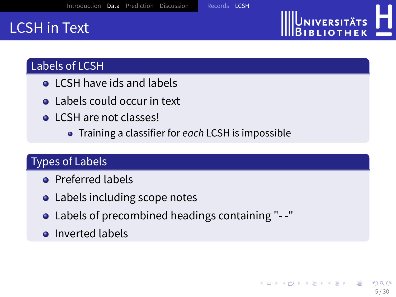## <span id="page-4-0"></span>LCSH in Text

### Labels of LCSH

- **Q.** LCSH have ids and labels
- Labels could occur in text
- **Q** LCSH are not classes!
	- Training a classifier for each LCSH is impossible

### Types of Labels

- **•** Preferred labels
- Labels including scope notes
- Labels of precombined headings containing "- -"
- **o** Inverted labels

UNIVERSITÄTS **BLIOTHEK**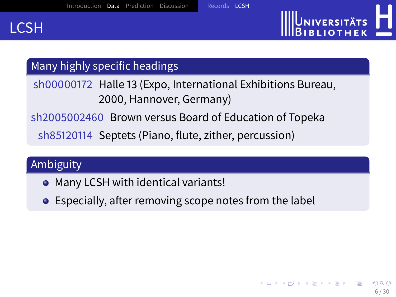

# UNIVERSITÄTS **BLIOTHEK**

## Many highly specific headings

## sh00000172 Halle 13 (Expo, International Exhibitions Bureau, 2000, Hannover, Germany)

## sh2005002460 Brown versus Board of Education of Topeka

sh85120114 Septets (Piano, flute, zither, percussion)

## Ambiguity

- Many LCSH with identical variants!
- $\bullet$  Especially, after removing scope notes from the label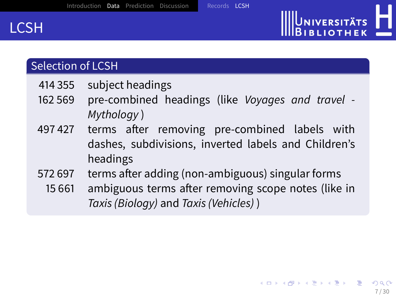

#### Selection of LCSH

- 414 355 subject headings
- 162 569 pre-combined headings (like Voyages and travel Mythology )
- 497427 terms after removing pre-combined labels with dashes, subdivisions, inverted labels and Children's headings
- 572 697 terms after adding (non-ambiguous) singular forms
	- 15 661 ambiguous terms after removing scope notes (like in Taxis (Biology) and Taxis (Vehicles) )

UNIVERSITÄTS **IBLIOTHEK**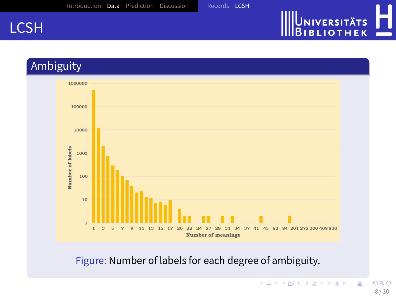# UNIVERSITÄTS<br>BIBLIOTHEK





Figure: Number of labels for each degree of ambiguity.

É

イロトス個 トスミドスミド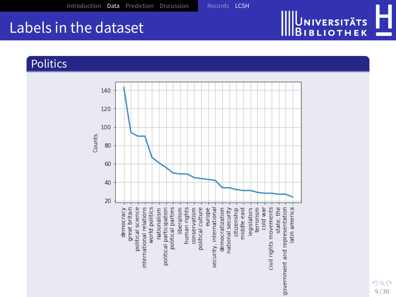## Labels in the dataset

#### Politics

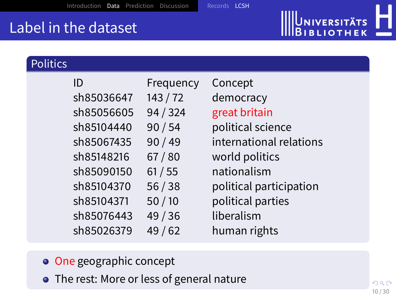## Label in the dataset

| <b>Politics</b> |          |           |                         |
|-----------------|----------|-----------|-------------------------|
| ID              |          | Frequency | Concept                 |
| sh85036647      | 143/72   |           | democracy               |
| sh85056605      | 94 / 324 |           | great britain           |
| sh85104440      | 90/54    |           | political science       |
| sh85067435      | 90/49    |           | international relations |
| sh85148216      | 67/80    |           | world politics          |
| sh85090150      | 61/55    |           | nationalism             |
| sh85104370      | 56/38    |           | political participation |
| sh85104371      | 50/10    |           | political parties       |
| sh85076443      | 49/36    |           | liberalism              |
| sh85026379      | 49/62    |           | human rights            |

- o One geographic concept
- The rest: More or less of general nature

Universitäts<br>Bibliothek

Д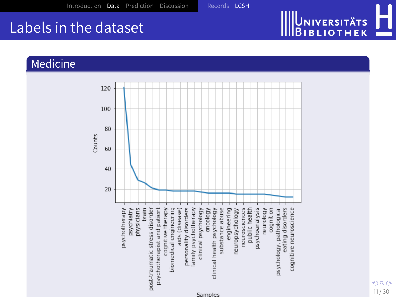## Labels in the dataset

#### Medicine

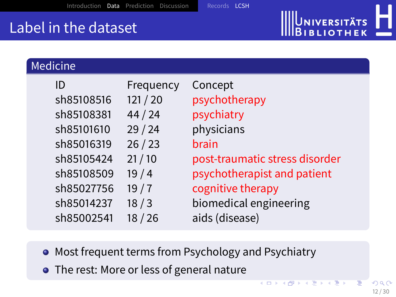## Label in the dataset

Medicine

|            |           | <b>IIIIDIBLIOTHEK</b><br>- 6   |  |  |
|------------|-----------|--------------------------------|--|--|
|            |           |                                |  |  |
| $c$ ine    |           |                                |  |  |
| ID         | Frequency | Concept                        |  |  |
| sh85108516 | 121/20    | psychotherapy                  |  |  |
| sh85108381 | 44/24     | psychiatry                     |  |  |
| sh85101610 | 29/24     | physicians                     |  |  |
| sh85016319 | 26/23     | brain                          |  |  |
| sh85105424 | 21/10     | post-traumatic stress disorder |  |  |
| sh85108509 | 19/4      | psychotherapist and patient    |  |  |
| sh85027756 | 19/7      | cognitive therapy              |  |  |
| sh85014237 | 18/3      | biomedical engineering         |  |  |
| sh85002541 | 18/26     | aids (disease)                 |  |  |

- Most frequent terms from Psychology and Psychiatry
- The rest: More or less of general nature

**K ロ ト K 伺 ト K ヨ ト K ヨ ト** 

**JNIVERSITÄTS**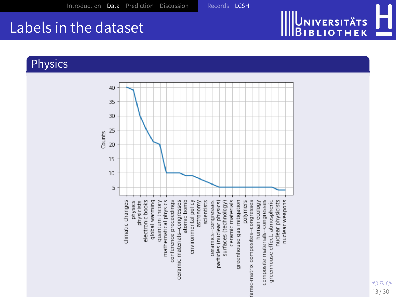# UNIVERSITÄTS<br>BIBLIOTHEK I O

## Labels in the dataset

#### Physics



 $290$ 13 / 30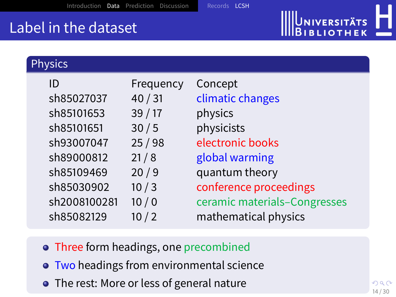# UNIVERSITÄTS<br>BIBLIOTHEK

## Label in the dataset

| <b>Physics</b>             |                    |                                                      |
|----------------------------|--------------------|------------------------------------------------------|
| ID<br>sh85027037           | Frequency<br>40/31 | Concept<br>climatic changes                          |
| sh85101653<br>sh85101651   | 39/17<br>30/5      | physics<br>physicists                                |
| sh93007047                 | 25/98              | electronic books                                     |
| sh89000812<br>sh85109469   | 21/8<br>20/9       | global warming                                       |
| sh85030902                 | 10/3               | quantum theory<br>conference proceedings             |
| sh2008100281<br>sh85082129 | 10/0<br>10/2       | ceramic materials-Congresses<br>mathematical physics |

- Three form headings, one precombined
- **Two headings from environmental science**
- The rest: More or less of general nature

つへへ 14 / 30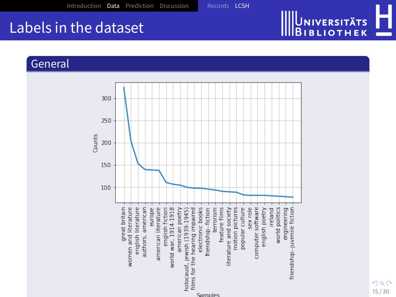## Labels in the dataset

#### General

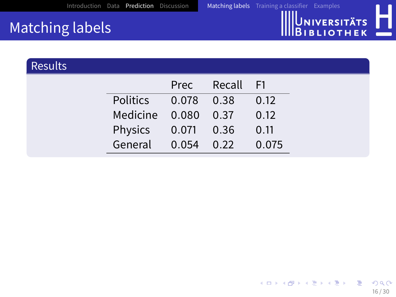

## <span id="page-15-0"></span>Matching labels

| <b>Results</b> |                          |                |      |  |
|----------------|--------------------------|----------------|------|--|
|                |                          | Prec Recall F1 |      |  |
|                | Politics  0.078  0.38    |                | 0.12 |  |
|                | Medicine 0.080 0.37      |                | 0.12 |  |
|                | Physics 0.071 0.36 0.11  |                |      |  |
|                | General 0.054 0.22 0.075 |                |      |  |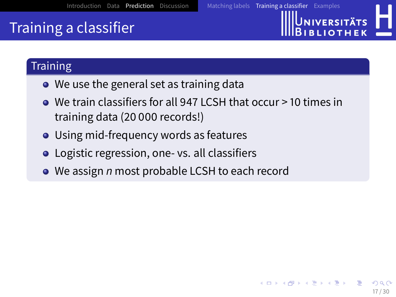

## <span id="page-16-0"></span>Training a classifier

#### **Training**

- We use the general set as training data
- We train classifiers for all 947 LCSH that occur > 10 times in training data (20 000 records!)
- Using mid-frequency words as features
- **•** Logistic regression, one- vs. all classifiers
- We assign *n* most probable LCSH to each record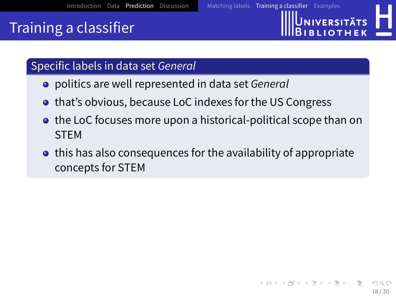## Training a classifier



## Specific labels in data set General

- **•** politics are well represented in data set General
- **that's obvious, because LoC indexes for the US Congress**
- **the LoC focuses more upon a historical-political scope than on** STEM
- $\bullet$  this has also consequences for the availability of appropriate concepts for STEM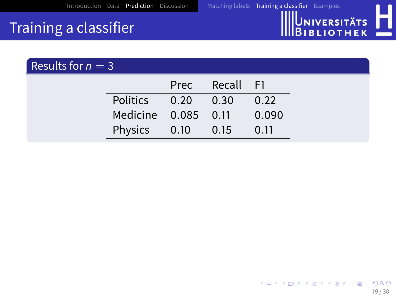

19 / 30

 $299$ 

E

イロトメ 伊 トメ 差 トメ 差 ト

## Training a classifier

| Results for $n = 3$ |                            |                |                           |
|---------------------|----------------------------|----------------|---------------------------|
|                     |                            | Prec Recall F1 |                           |
|                     | Politics  0.20  0.30  0.22 |                |                           |
|                     |                            |                | Medicine 0.085 0.11 0.090 |
|                     | Physics 0.10 0.15 0.11     |                |                           |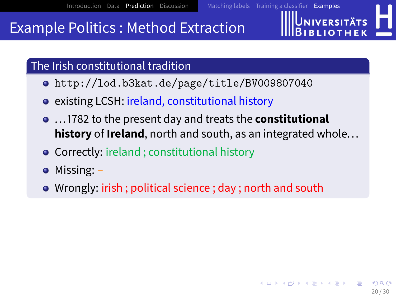## <span id="page-19-0"></span>Example Politics : Method Extraction

The Irish constitutional tradition

- <http://lod.b3kat.de/page/title/BV009807040>
- **e** existing LCSH: ireland, constitutional history
- ... 1782 to the present day and treats the **constitutional history** of **Ireland**, north and south, as an integrated whole...
- **Correctly: ireland ; constitutional history**
- Missing: –
- Wrongly: irish ; political science ; day ; north and south

**INIVERSITÄTS**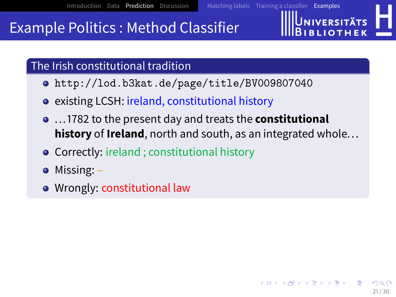## Example Politics : Method Classifier

The Irish constitutional tradition

- <http://lod.b3kat.de/page/title/BV009807040>
- **e** existing LCSH: ireland, constitutional history
- ... 1782 to the present day and treats the **constitutional history** of **Ireland**, north and south, as an integrated whole...
- **Correctly: ireland ; constitutional history**
- Missing: –
- Wrongly: constitutional law

**INIVERSITÄTS**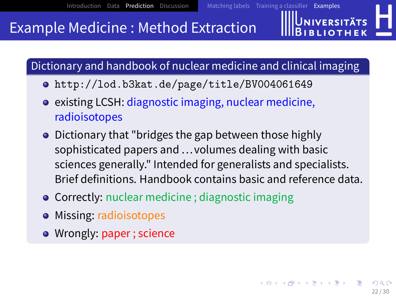## Example Medicine : Method Extraction

Dictionary and handbook of nuclear medicine and clinical imaging

- <http://lod.b3kat.de/page/title/BV004061649>
- existing LCSH: diagnostic imaging, nuclear medicine, radioisotopes
- Dictionary that "bridges the gap between those highly sophisticated papers and ...volumes dealing with basic sciences generally." Intended for generalists and specialists. Brief definitions. Handbook contains basic and reference data.
- **Correctly:** nuclear medicine ; diagnostic imaging
- Missing: radioisotopes
- Wrongly: paper ; science

**JNIVERSITÄTS RIJOTHEL**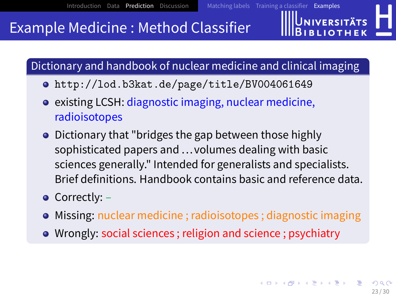## Example Medicine : Method Classifier

Dictionary and handbook of nuclear medicine and clinical imaging

- <http://lod.b3kat.de/page/title/BV004061649>
- existing LCSH: diagnostic imaging, nuclear medicine, radioisotopes
- Dictionary that "bridges the gap between those highly sophisticated papers and ...volumes dealing with basic sciences generally." Intended for generalists and specialists. Brief definitions. Handbook contains basic and reference data.
- Correctly:
- **•** Missing: nuclear medicine ; radioisotopes ; diagnostic imaging
- Wrongly: social sciences ; religion and science ; psychiatry

**JNIVERSITÄTS**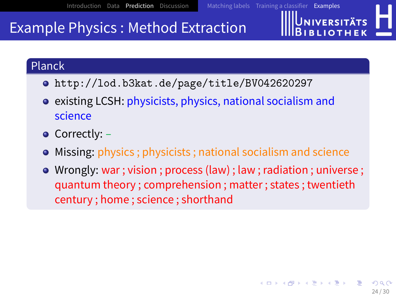## Example Physics : Method Extraction

#### Planck

- <http://lod.b3kat.de/page/title/BV042620297>
- existing LCSH: physicists, physics, national socialism and science
- **•** Correctly:
- Missing: physics ; physicists ; national socialism and science
- Wrongly: war ; vision ; process (law) ; law ; radiation ; universe ; quantum theory ; comprehension ; matter ; states ; twentieth century ; home ; science ; shorthand

**JNIVERSITÄTS**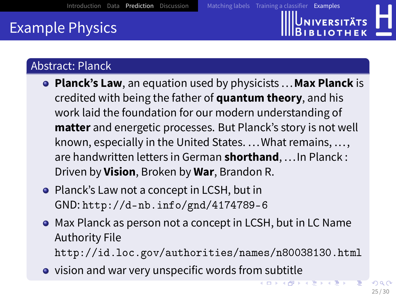Universitäts **BIJOTHEL** 



### Abstract: Planck

- **Planck's Law**, an equation used by physicists ...**Max Planck** is credited with being the father of **quantum theory**, and his work laid the foundation for our modern understanding of **matter** and energetic processes. But Planck's story is not well known, especially in the United States. ...What remains, ..., are handwritten letters in German **shorthand**, ...In Planck : Driven by **Vision**, Broken by **War**, Brandon R.
- Planck's Law not a concept in LCSH, but in GND: <http://d-nb.info/gnd/4174789-6>
- Max Planck as person not a concept in LCSH, but in LC Name Authority File <http://id.loc.gov/authorities/names/n80038130.html>
- vision and war very unspecific words from subtitle  $(1, 1)$   $(1, 1)$   $(1, 1)$   $(1, 1)$   $(1, 1)$   $(1, 1)$   $(1, 1)$   $(1, 1)$   $(1, 1)$   $(1, 1)$   $(1, 1)$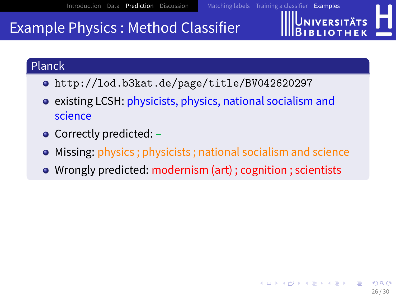## Example Physics : Method Classifier

#### Planck

- <http://lod.b3kat.de/page/title/BV042620297>
- existing LCSH: physicists, physics, national socialism and science
- Correctly predicted:
- Missing: physics ; physicists ; national socialism and science
- Wrongly predicted: modernism (art) ; cognition ; scientists

**JNIVERSITÄTS**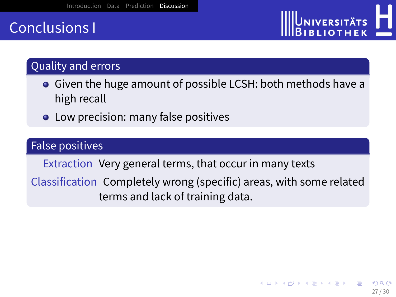## <span id="page-26-0"></span>Conclusions I

### Quality and errors

- Given the huge amount of possible LCSH: both methods have a high recall
- **•** Low precision: many false positives

#### False positives

Extraction Very general terms, that occur in many texts

Classification Completely wrong (specific) areas, with some related terms and lack of training data.

UNIVERSITÄTS **IBLIOTHEK**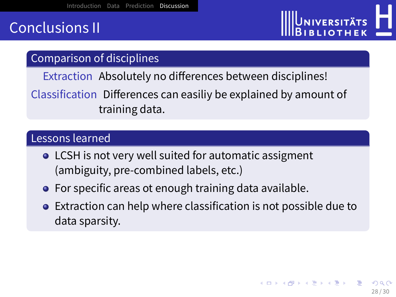## Conclusions II

# UNIVERSITÄTS **BLIOTHE**

#### Comparison of disciplines

Extraction Absolutely no differences between disciplines!

Classification Differences can easiliy be explained by amount of training data.

#### Lessons learned

- **•** LCSH is not very well suited for automatic assigment (ambiguity, pre-combined labels, etc.)
- **•** For specific areas ot enough training data available.
- Extraction can help where classification is not possible due to data sparsity.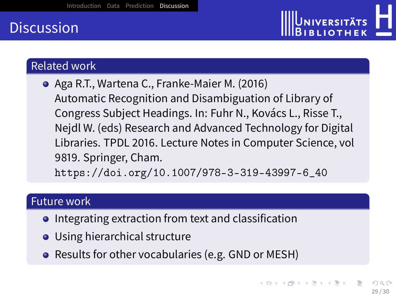## **Discussion**



#### Related work

Aga R.T., Wartena C., Franke-Maier M. (2016) Automatic Recognition and Disambiguation of Library of Congress Subject Headings. In: Fuhr N., Kovács L., Risse T., Nejdl W. (eds) Research and Advanced Technology for Digital Libraries. TPDL 2016. Lecture Notes in Computer Science, vol 9819. Springer, Cham.

[https://doi.org/10.1007/978-3-319-43997-6\\_40](https://doi.org/10.1007/978-3-319-43997-6_40)

#### Future work

- **•** Integrating extraction from text and classification
- Using hierarchical structure
- Results for other vocabularies (e.g. GND or MESH)